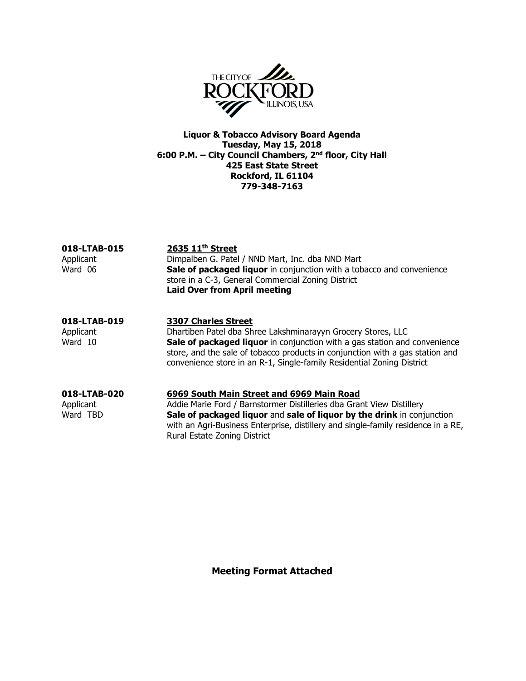

Liquor & Tobacco Advisory Board Agenda Tuesday, May 15, 2018 6:00 P.M. – City Council Chambers, 2nd floor, City Hall 425 East State Street Rockford, IL 61104 779-348-7163

| 018-LTAB-015<br>Applicant<br>Ward 06 | 2635 11 <sup>th</sup> Street<br>Dimpalben G. Patel / NND Mart, Inc. dba NND Mart<br>Sale of packaged liquor in conjunction with a tobacco and convenience<br>store in a C-3, General Commercial Zoning District<br><b>Laid Over from April meeting</b>                                                                             |
|--------------------------------------|------------------------------------------------------------------------------------------------------------------------------------------------------------------------------------------------------------------------------------------------------------------------------------------------------------------------------------|
| 018-LTAB-019<br>Applicant<br>Ward 10 | <b>3307 Charles Street</b><br>Dhartiben Patel dba Shree Lakshminarayyn Grocery Stores, LLC<br>Sale of packaged liquor in conjunction with a gas station and convenience<br>store, and the sale of tobacco products in conjunction with a gas station and<br>convenience store in an R-1, Single-family Residential Zoning District |
| 018-LTAB-020                         | 6969 South Main Street and 6969 Main Road                                                                                                                                                                                                                                                                                          |

Applicant Addie Marie Ford / Barnstormer Distilleries dba Grant View Distillery Ward TBD **Sale of packaged liquor** and **sale of liquor by the drink** in conjunction with an Agri-Business Enterprise, distillery and single-family residence in a RE, Rural Estate Zoning District

Meeting Format Attached